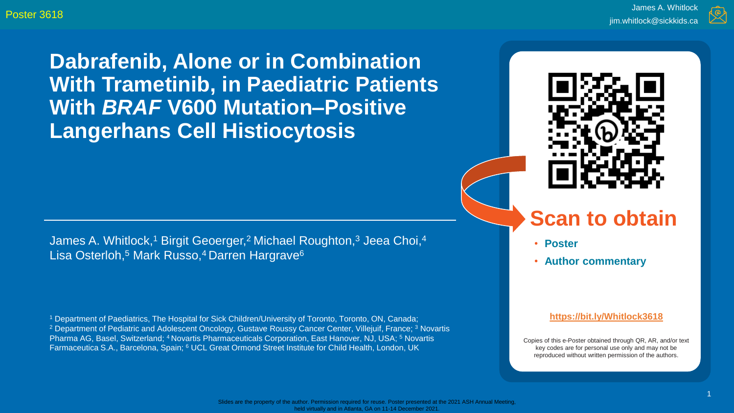Poster 3618

James A. Whitlock jim.whitlock@sickkids.ca

**Dabrafenib, Alone or in Combination With Trametinib, in Paediatric Patients With** *BRAF* **V600 Mutation–Positive Langerhans Cell Histiocytosis**

James A. Whitlock,<sup>1</sup> Birgit Geoerger,<sup>2</sup> Michael Roughton,<sup>3</sup> Jeea Choi,<sup>4</sup> Lisa Osterloh,<sup>5</sup> Mark Russo,<sup>4</sup> Darren Hargrave<sup>6</sup>

<sup>1</sup> Department of Paediatrics, The Hospital for Sick Children/University of Toronto, Toronto, ON, Canada; <sup>2</sup> Department of Pediatric and Adolescent Oncology, Gustave Roussy Cancer Center, Villejuif, France; <sup>3</sup> Novartis Pharma AG, Basel, Switzerland; <sup>4</sup> Novartis Pharmaceuticals Corporation, East Hanover, NJ, USA; <sup>5</sup> Novartis Farmaceutica S.A., Barcelona, Spain; <sup>6</sup> UCL Great Ormond Street Institute for Child Health, London, UK



### **Scan to obtain**

• **Poster**

• **Author commentary**

#### **<https://bit.ly/Whitlock3618>**

Copies of this e-Poster obtained through QR, AR, and/or text key codes are for personal use only and may not be reproduced without written permission of the authors.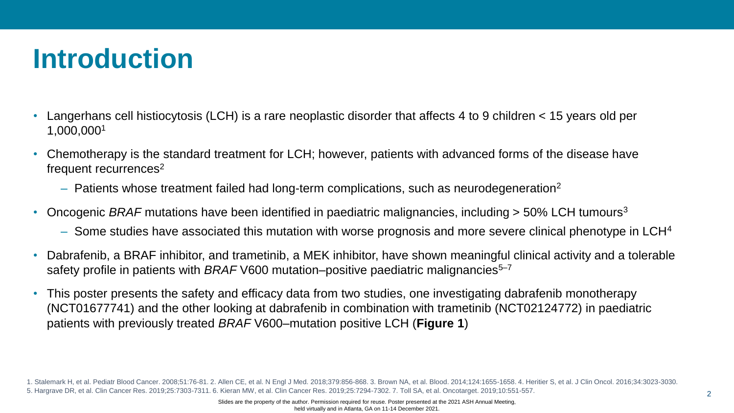## **Introduction**

- Langerhans cell histiocytosis (LCH) is a rare neoplastic disorder that affects 4 to 9 children < 15 years old per 1,000,000<sup>1</sup>
- Chemotherapy is the standard treatment for LCH; however, patients with advanced forms of the disease have frequent recurrences<sup>2</sup>
	- $-$  Patients whose treatment failed had long-term complications, such as neurodegeneration<sup>2</sup>
- Oncogenic *BRAF* mutations have been identified in paediatric malignancies, including > 50% LCH tumours<sup>3</sup>
	- $-$  Some studies have associated this mutation with worse prognosis and more severe clinical phenotype in LCH<sup>4</sup>
- Dabrafenib, a BRAF inhibitor, and trametinib, a MEK inhibitor, have shown meaningful clinical activity and a tolerable safety profile in patients with *BRAF* V600 mutation–positive paediatric malignancies<sup>5–7</sup>
- This poster presents the safety and efficacy data from two studies, one investigating dabrafenib monotherapy (NCT01677741) and the other looking at dabrafenib in combination with trametinib (NCT02124772) in paediatric patients with previously treated *BRAF* V600–mutation positive LCH (**Figure 1**)

1. Stalemark H, et al. Pediatr Blood Cancer. 2008;51:76-81. 2. Allen CE, et al. N Engl J Med. 2018;379:856-868. 3. Brown NA, et al. Blood. 2014;124:1655-1658. 4. Heritier S, et al. J Clin Oncol. 2016;34:3023-3030. 5. Hargrave DR, et al. Clin Cancer Res. 2019;25:7303-7311. 6. Kieran MW, et al. Clin Cancer Res. 2019;25:7294-7302. 7. Toll SA, et al. Oncotarget. 2019;10:551-557.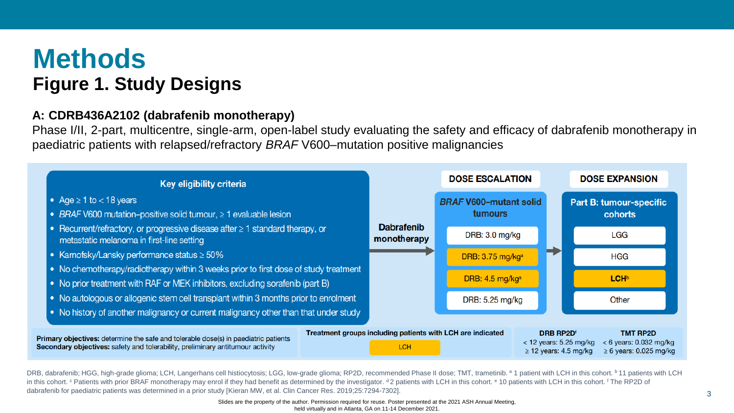### **Methods Figure 1. Study Designs**

#### **A: CDRB436A2102 (dabrafenib monotherapy)**

Phase I/II, 2-part, multicentre, single-arm, open-label study evaluating the safety and efficacy of dabrafenib monotherapy in paediatric patients with relapsed/refractory *BRAF* V600–mutation positive malignancies



DRB, dabrafenib; HGG, high-grade glioma; LCH, Langerhans cell histiocytosis; LGG, low-grade glioma; RP2D, recommended Phase II dose; TMT, trametinib. <sup>a</sup> 1 patient with LCH in this cohort. <sup>b</sup> 11 patients with LCH in this cohort. <sup>c</sup> Patients with prior BRAF monotherapy may enrol if they had benefit as determined by the investigator. <sup>d</sup> 2 patients with LCH in this cohort. <sup>e</sup> 10 patients with LCH in this cohort. <sup>f</sup> The RP2D of dabrafenib for paediatric patients was determined in a prior study [Kieran MW, et al. Clin Cancer Res. 2019;25:7294-7302].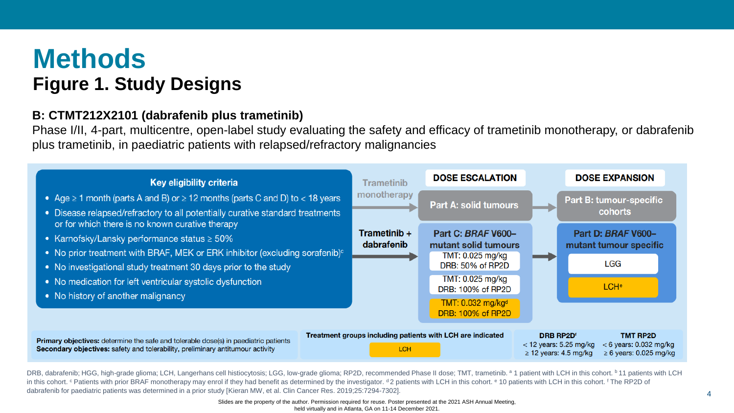### **Methods Figure 1. Study Designs**

#### **B: CTMT212X2101 (dabrafenib plus trametinib)**

Phase I/II, 4-part, multicentre, open-label study evaluating the safety and efficacy of trametinib monotherapy, or dabrafenib plus trametinib, in paediatric patients with relapsed/refractory malignancies



DRB, dabrafenib; HGG, high-grade glioma; LCH, Langerhans cell histiocytosis; LGG, low-grade glioma; RP2D, recommended Phase II dose; TMT, trametinib. <sup>a</sup> 1 patient with LCH in this cohort. <sup>b</sup> 11 patients with LCH in this cohort. <sup>c</sup> Patients with prior BRAF monotherapy may enrol if they had benefit as determined by the investigator. <sup>d</sup> 2 patients with LCH in this cohort. <sup>e</sup> 10 patients with LCH in this cohort. <sup>f</sup> The RP2D of dabrafenib for paediatric patients was determined in a prior study [Kieran MW, et al. Clin Cancer Res. 2019;25:7294-7302].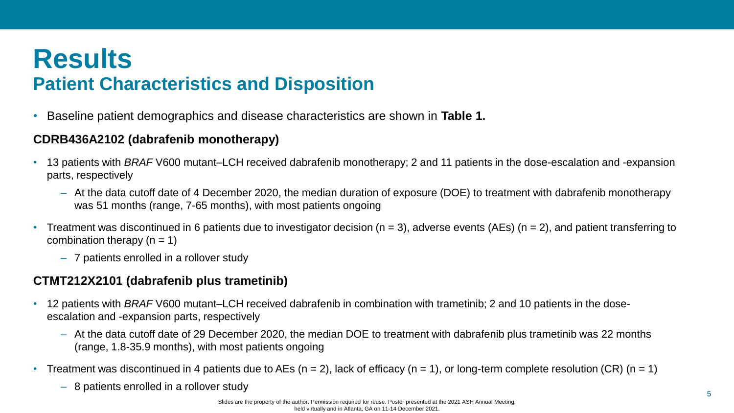## **Results Patient Characteristics and Disposition**

• Baseline patient demographics and disease characteristics are shown in **Table 1.**

#### **CDRB436A2102 (dabrafenib monotherapy)**

- 13 patients with *BRAF* V600 mutant–LCH received dabrafenib monotherapy; 2 and 11 patients in the dose-escalation and -expansion parts, respectively
	- At the data cutoff date of 4 December 2020, the median duration of exposure (DOE) to treatment with dabrafenib monotherapy was 51 months (range, 7-65 months), with most patients ongoing
- Treatment was discontinued in 6 patients due to investigator decision ( $n = 3$ ), adverse events (AEs) ( $n = 2$ ), and patient transferring to combination therapy  $(n = 1)$ 
	- 7 patients enrolled in a rollover study

#### **CTMT212X2101 (dabrafenib plus trametinib)**

- 12 patients with *BRAF* V600 mutant–LCH received dabrafenib in combination with trametinib; 2 and 10 patients in the doseescalation and -expansion parts, respectively
	- At the data cutoff date of 29 December 2020, the median DOE to treatment with dabrafenib plus trametinib was 22 months (range, 1.8-35.9 months), with most patients ongoing
- Treatment was discontinued in 4 patients due to AEs (n = 2), lack of efficacy (n = 1), or long-term complete resolution (CR) (n = 1)
	- 8 patients enrolled in a rollover study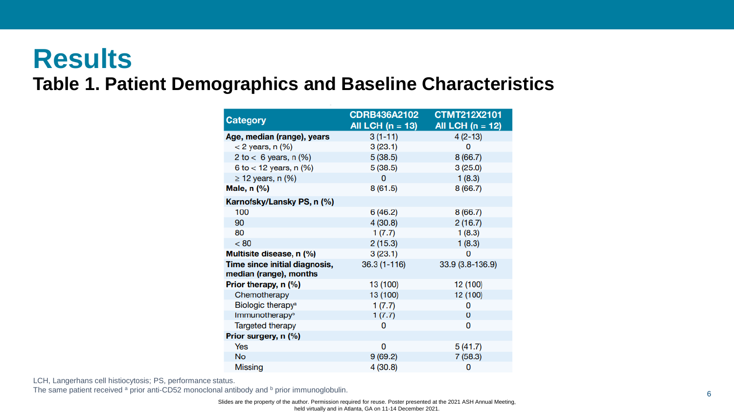### **Results Table 1. Patient Demographics and Baseline Characteristics**

|                                                         | <b>CDRB436A2102</b> | <b>CTMT212X2101</b> |  |
|---------------------------------------------------------|---------------------|---------------------|--|
| <b>Category</b>                                         | All LCH $(n = 13)$  | All LCH $(n = 12)$  |  |
| Age, median (range), years                              | $3(1-11)$           | $4(2-13)$           |  |
| $<$ 2 years, n $(\%)$                                   | 3(23.1)             | 0                   |  |
| 2 to $< 6$ years, n $(\%)$                              | 5(38.5)             | 8(66.7)             |  |
| 6 to $<$ 12 years, n $(\%)$                             | 5(38.5)             | 3(25.0)             |  |
| $\geq$ 12 years, n (%)                                  | 0                   | 1(8.3)              |  |
| <b>Male, n (%)</b>                                      | 8(61.5)             | 8(66.7)             |  |
| Karnofsky/Lansky PS, n (%)                              |                     |                     |  |
| 100                                                     | 6(46.2)             | 8(66.7)             |  |
| 90                                                      | 4(30.8)             | 2(16.7)             |  |
| 80                                                      | 1(7.7)              | 1(8.3)              |  |
| < 80                                                    | 2(15.3)             | 1(8.3)              |  |
| Multisite disease, n (%)                                | 3(23.1)             | 0                   |  |
| Time since initial diagnosis,<br>median (range), months | $36.3(1 - 116)$     | 33.9 (3.8-136.9)    |  |
| Prior therapy, n (%)                                    | 13 (100)            | 12 (100)            |  |
| Chemotherapy                                            | 13 (100)            | 12 (100)            |  |
| Biologic therapy <sup>a</sup>                           | 1(7.7)              | 0                   |  |
| Immunotherapy <sup>b</sup>                              | 1(7.7)              | 0                   |  |
| Targeted therapy                                        | 0                   | 0                   |  |
| Prior surgery, n (%)                                    |                     |                     |  |
| Yes                                                     | 0                   | 5(41.7)             |  |
| <b>No</b>                                               | 9(69.2)             | 7 (58.3)            |  |
| <b>Missing</b>                                          | 4(30.8)             | 0                   |  |

LCH, Langerhans cell histiocytosis; PS, performance status.

The same patient received <sup>a</sup> prior anti-CD52 monoclonal antibody and <sup>b</sup> prior immunoglobulin.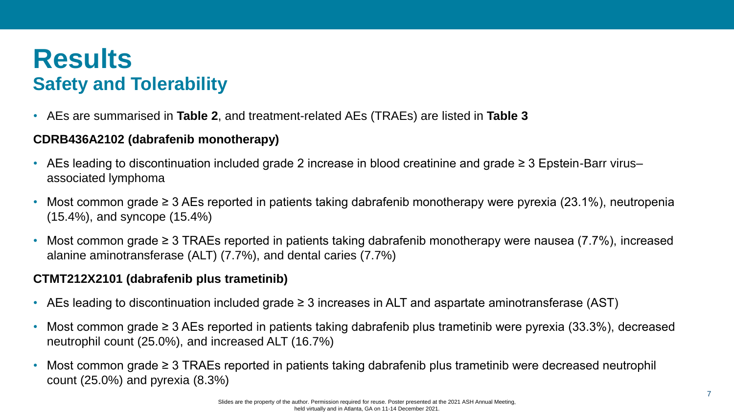## **Results Safety and Tolerability**

• AEs are summarised in **Table 2**, and treatment-related AEs (TRAEs) are listed in **Table 3**

### **CDRB436A2102 (dabrafenib monotherapy)**

- AEs leading to discontinuation included grade 2 increase in blood creatinine and grade ≥ 3 Epstein-Barr virus– associated lymphoma
- Most common grade ≥ 3 AEs reported in patients taking dabrafenib monotherapy were pyrexia (23.1%), neutropenia (15.4%), and syncope (15.4%)
- Most common grade ≥ 3 TRAEs reported in patients taking dabrafenib monotherapy were nausea (7.7%), increased alanine aminotransferase (ALT) (7.7%), and dental caries (7.7%)

#### **CTMT212X2101 (dabrafenib plus trametinib)**

- AEs leading to discontinuation included grade ≥ 3 increases in ALT and aspartate aminotransferase (AST)
- Most common grade ≥ 3 AEs reported in patients taking dabrafenib plus trametinib were pyrexia (33.3%), decreased neutrophil count (25.0%), and increased ALT (16.7%)
- Most common grade ≥ 3 TRAEs reported in patients taking dabrafenib plus trametinib were decreased neutrophil count (25.0%) and pyrexia (8.3%)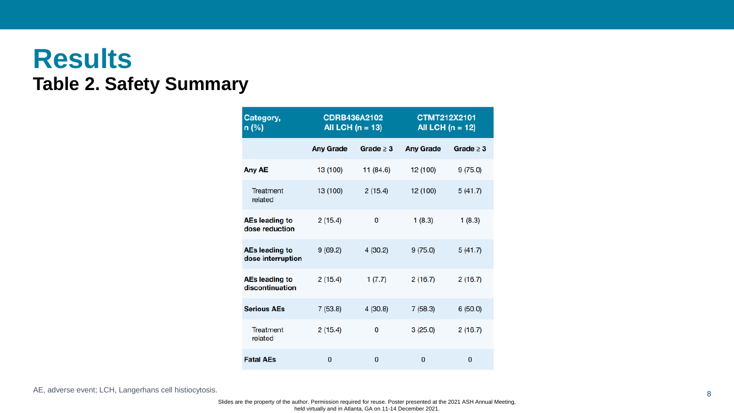### **Results Table 2. Safety Summary**

| Category,<br>n (%)                       |                  | <b>CDRB436A2102</b><br>All LCH $(n = 13)$ | <b>CTMT212X2101</b><br>All LCH $(n = 12)$ |                |
|------------------------------------------|------------------|-------------------------------------------|-------------------------------------------|----------------|
|                                          | <b>Any Grade</b> | Grade $\geq 3$                            | <b>Any Grade</b>                          | Grade $\geq 3$ |
| <b>Any AE</b>                            | 13 (100)         | 11 (84.6)                                 | 12 (100)                                  | 9(75.0)        |
| <b>Treatment</b><br>related              | 13 (100)         | 2(15.4)                                   | 12 (100)                                  | 5(41.7)        |
| <b>AEs leading to</b><br>dose reduction  | 2(15.4)          | 0                                         | 1(8.3)                                    | 1(8.3)         |
| AEs leading to<br>dose interruption      | 9(69.2)          | 4(30.2)                                   | 9(75.0)                                   | 5(41.7)        |
| <b>AEs leading to</b><br>discontinuation | 2(15.4)          | 1(7.7)                                    | 2(16.7)                                   | 2(16.7)        |
| <b>Serious AEs</b>                       | 7(53.8)          | 4(30.8)                                   | 7(58.3)                                   | 6(50.0)        |
| <b>Treatment</b><br>related              | 2(15.4)          | 0                                         | 3(25.0)                                   | 2(16.7)        |
| <b>Fatal AEs</b>                         | 0                | 0                                         | $\Omega$                                  | 0              |

AE, adverse event; LCH, Langerhans cell histiocytosis.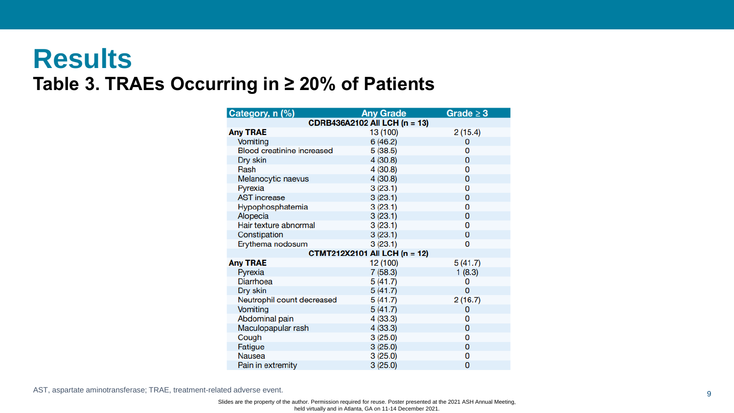### **Results Table 3. TRAEs Occurring in ≥ 20% of Patients**

| Category, n (%)                   | <b>Any Grade</b>              | Grade $\geq 3$ |  |  |  |  |
|-----------------------------------|-------------------------------|----------------|--|--|--|--|
| CDRB436A2102 All LCH (n = 13)     |                               |                |  |  |  |  |
| <b>Any TRAE</b>                   | 13 (100)                      | 2(15.4)        |  |  |  |  |
| Vomiting                          | 6(46.2)                       | 0              |  |  |  |  |
| <b>Blood creatinine increased</b> | 5(38.5)                       | 0              |  |  |  |  |
| Dry skin                          | 4(30.8)                       | 0              |  |  |  |  |
| Rash                              | 4(30.8)                       | 0              |  |  |  |  |
| Melanocytic naevus                | 4(30.8)                       | 0              |  |  |  |  |
| Pyrexia                           | 3(23.1)                       | 0              |  |  |  |  |
| <b>AST</b> increase               | 3(23.1)                       | 0              |  |  |  |  |
| Hypophosphatemia                  | 3(23.1)                       | 0              |  |  |  |  |
| Alopecia                          | 3(23.1)                       | 0              |  |  |  |  |
| Hair texture abnormal             | 3(23.1)                       | 0              |  |  |  |  |
| Constipation                      | 3(23.1)                       | 0              |  |  |  |  |
| Erythema nodosum                  | 3(23.1)                       | 0              |  |  |  |  |
|                                   | CTMT212X2101 All LCH (n = 12) |                |  |  |  |  |
| <b>Any TRAE</b>                   | 12 (100)                      | 5(41.7)        |  |  |  |  |
| Pyrexia                           | 7(58.3)                       | 1(8.3)         |  |  |  |  |
| <b>Diarrhoea</b>                  | 5(41.7)                       | 0              |  |  |  |  |
| Dry skin                          | 5(41.7)                       | 0              |  |  |  |  |
| Neutrophil count decreased        | 5(41.7)                       | 2(16.7)        |  |  |  |  |
| Vomiting                          | 5(41.7)                       | 0              |  |  |  |  |
| Abdominal pain                    | 4(33.3)                       | 0              |  |  |  |  |
| Maculopapular rash                | 4(33.3)                       | 0              |  |  |  |  |
| Cough                             | 3(25.0)                       | 0              |  |  |  |  |
| Fatigue                           | 3(25.0)                       | 0              |  |  |  |  |
| <b>Nausea</b>                     | 3(25.0)                       | 0              |  |  |  |  |
| Pain in extremity                 | 3(25.0)                       | 0              |  |  |  |  |

AST, aspartate aminotransferase; TRAE, treatment-related adverse event.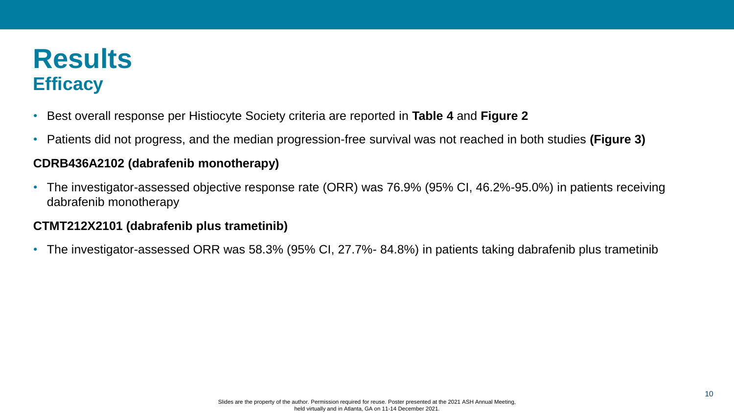## **Results Efficacy**

- Best overall response per Histiocyte Society criteria are reported in **Table 4** and **Figure 2**
- Patients did not progress, and the median progression-free survival was not reached in both studies **(Figure 3)**

#### **CDRB436A2102 (dabrafenib monotherapy)**

• The investigator-assessed objective response rate (ORR) was 76.9% (95% CI, 46.2%-95.0%) in patients receiving dabrafenib monotherapy

#### **CTMT212X2101 (dabrafenib plus trametinib)**

• The investigator-assessed ORR was 58.3% (95% CI, 27.7%- 84.8%) in patients taking dabrafenib plus trametinib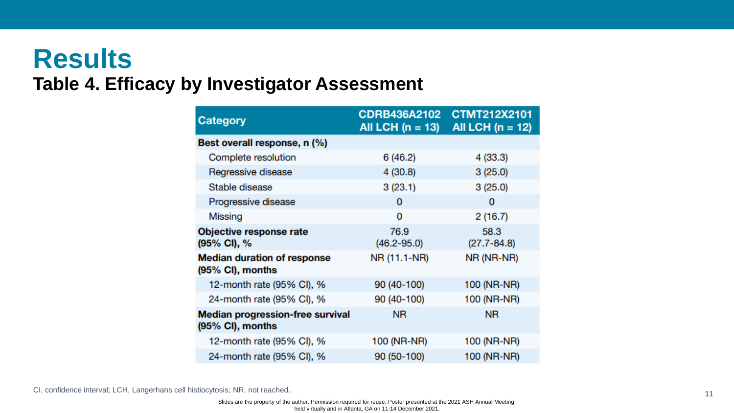### **Results Table 4. Efficacy by Investigator Assessment**

| Category                                                          | <b>CDRB436A2102</b><br>All LCH $(n = 13)$ | <b>CTMT212X2101</b><br>All LCH $(n = 12)$ |
|-------------------------------------------------------------------|-------------------------------------------|-------------------------------------------|
| Best overall response, n (%)                                      |                                           |                                           |
| Complete resolution                                               | 6 (46.2)                                  | 4 (33.3)                                  |
| Regressive disease                                                | 4(30.8)                                   | 3(25.0)                                   |
| Stable disease                                                    | 3(23.1)                                   | 3(25.0)                                   |
| Progressive disease                                               | $\bf{0}$                                  | 0                                         |
| <b>Missing</b>                                                    | 0                                         | 2(16.7)                                   |
| Objective response rate<br>(95% CI), %                            | 76.9<br>$(46.2 - 95.0)$                   | 58.3<br>$(27.7 - 84.8)$                   |
| <b>Median duration of response</b><br>$(95% \text{ Cl})$ , months | NR (11.1-NR)                              | NR (NR-NR)                                |
| 12-month rate (95% CI), %                                         | 90 (40-100)                               | 100 (NR-NR)                               |
| 24-month rate (95% CI), %                                         | 90 (40-100)                               | 100 (NR-NR)                               |
| <b>Median progression-free survival</b><br>(95% CI), months       | NR.                                       | <b>NR</b>                                 |
| 12-month rate (95% CI), %                                         | 100 (NR-NR)                               | 100 (NR-NR)                               |
| 24-month rate (95% CI), %                                         | 90 (50-100)                               | 100 (NR-NR)                               |

<sup>11</sup> CI, confidence interval; LCH, Langerhans cell histiocytosis; NR, not reached.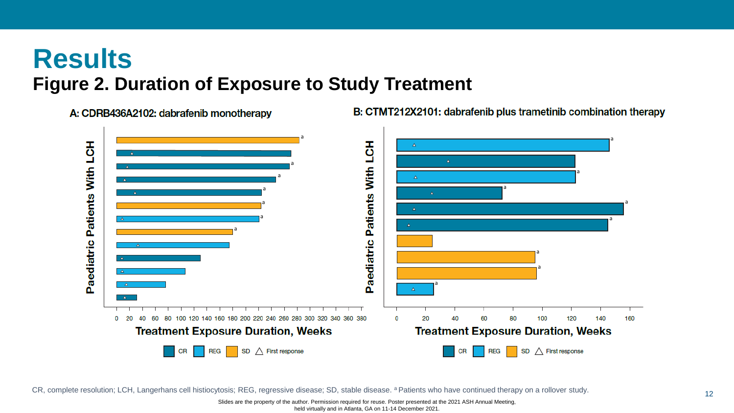### **Results Figure 2. Duration of Exposure to Study Treatment**

A: CDRB436A2102: dabrafenib monotherapy

a a Patients With LCH Patients With LCH a a a a a  $\boldsymbol{\Lambda}$ a a aa a Paediatric Paediatric a a a  $\Delta$  $\Delta$  $0<sub>20</sub>$ 60 80 100 120 140 160 180 200 220 240 260 280 300 320 340 360 380  $\Omega$ 20 40 60 80 100 120 140 160 **Treatment Exposure Duration, Weeks Treatment Exposure Duration, Weeks**  $SD \land$  First response  $\triangle$  First response **SD REG CR REG** 

B: CTMT212X2101: dabrafenib plus trametinib combination therapy

CR, complete resolution; LCH, Langerhans cell histiocytosis; REG, regressive disease; SD, stable disease. <sup>a</sup> Patients who have continued therapy on a rollover study.<br>
12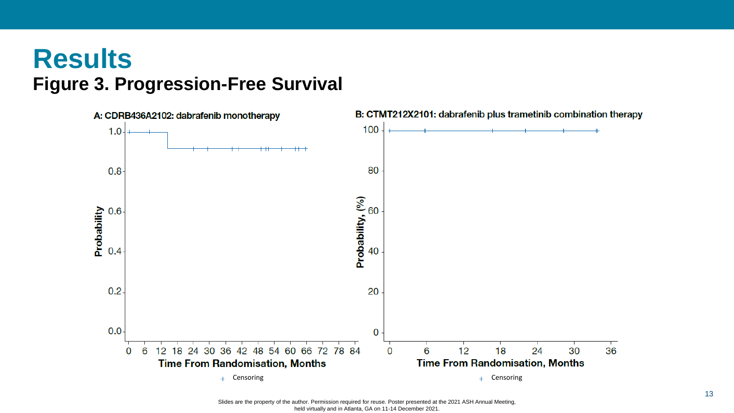## **Results Figure 3. Progression-Free Survival**



Slides are the property of the author. Permission required for reuse. Poster presented at the 2021 ASH Annual Meeting, held virtually and in Atlanta, GA on 11-14 December 2021.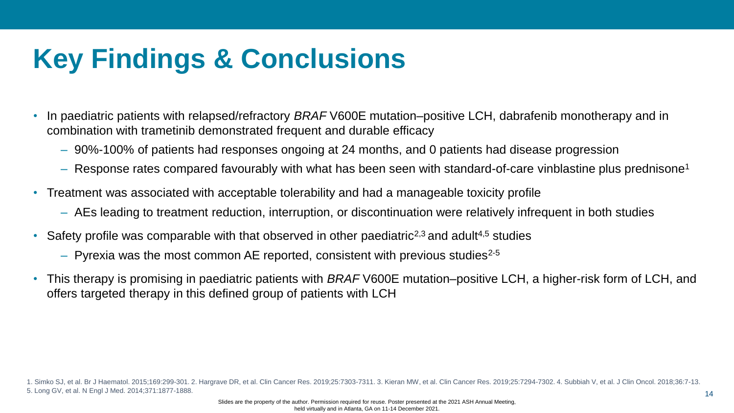# **Key Findings & Conclusions**

- In paediatric patients with relapsed/refractory *BRAF* V600E mutation–positive LCH, dabrafenib monotherapy and in combination with trametinib demonstrated frequent and durable efficacy
	- 90%-100% of patients had responses ongoing at 24 months, and 0 patients had disease progression
	- $-$  Response rates compared favourably with what has been seen with standard-of-care vinblastine plus prednisone<sup>1</sup>
- Treatment was associated with acceptable tolerability and had a manageable toxicity profile
	- AEs leading to treatment reduction, interruption, or discontinuation were relatively infrequent in both studies
- Safety profile was comparable with that observed in other paediatric<sup>2,3</sup> and adult<sup>4,5</sup> studies
	- $-$  Pyrexia was the most common AE reported, consistent with previous studies<sup>2-5</sup>
- This therapy is promising in paediatric patients with *BRAF* V600E mutation–positive LCH, a higher-risk form of LCH, and offers targeted therapy in this defined group of patients with LCH

<sup>1.</sup> Simko SJ, et al. Br J Haematol. 2015;169:299-301. 2. Hargrave DR, et al. Clin Cancer Res. 2019;25:7303-7311. 3. Kieran MW, et al. Clin Cancer Res. 2019;25:7294-7302. 4. Subbiah V, et al. J Clin Oncol. 2018;36:7-13. 5. Long GV, et al. N Engl J Med. 2014;371:1877-1888.